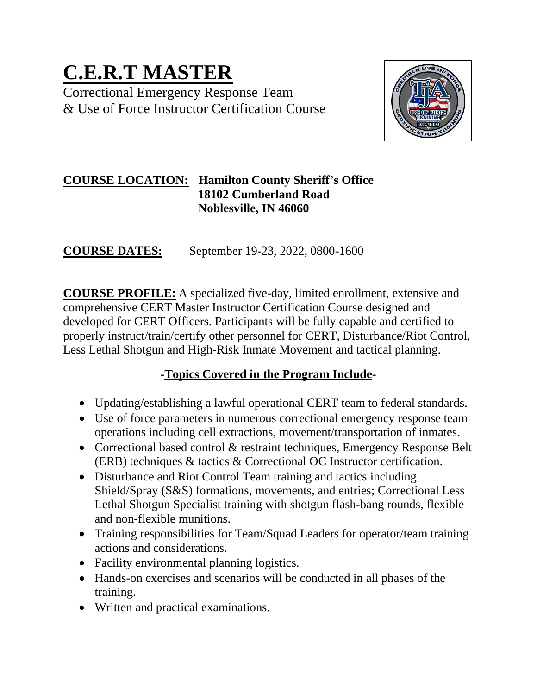# **C.E.R.T MASTER**  Correctional Emergency Response Team & Use of Force Instructor Certification Course



# **COURSE LOCATION: Hamilton County Sheriff's Office 18102 Cumberland Road Noblesville, IN 46060**

**COURSE DATES:** September 19-23, 2022, 0800-1600

**COURSE PROFILE:** A specialized five-day, limited enrollment, extensive and comprehensive CERT Master Instructor Certification Course designed and developed for CERT Officers. Participants will be fully capable and certified to properly instruct/train/certify other personnel for CERT, Disturbance/Riot Control, Less Lethal Shotgun and High-Risk Inmate Movement and tactical planning.

# **-Topics Covered in the Program Include-**

- Updating/establishing a lawful operational CERT team to federal standards.
- Use of force parameters in numerous correctional emergency response team operations including cell extractions, movement/transportation of inmates.
- Correctional based control & restraint techniques, Emergency Response Belt (ERB) techniques & tactics & Correctional OC Instructor certification.
- Disturbance and Riot Control Team training and tactics including Shield/Spray (S&S) formations, movements, and entries; Correctional Less Lethal Shotgun Specialist training with shotgun flash-bang rounds, flexible and non-flexible munitions.
- Training responsibilities for Team/Squad Leaders for operator/team training actions and considerations.
- Facility environmental planning logistics.
- Hands-on exercises and scenarios will be conducted in all phases of the training.
- Written and practical examinations.